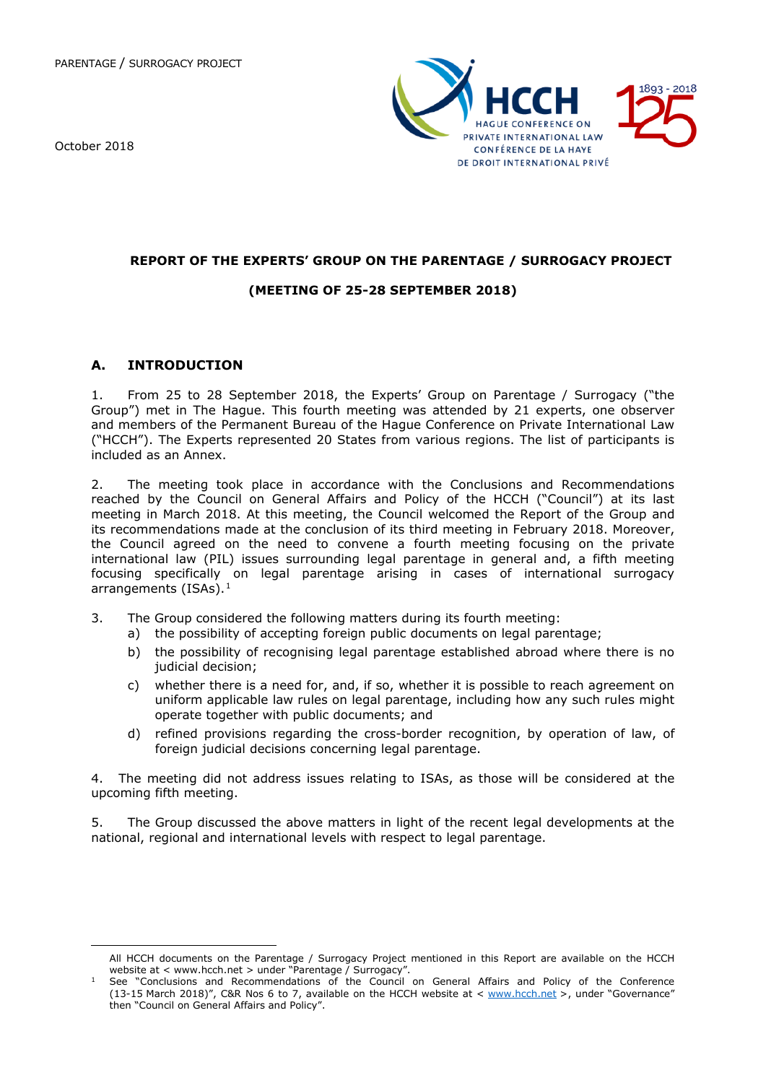October 2018

<span id="page-0-0"></span> $\overline{a}$ 



## **REPORT OF THE EXPERTS' GROUP ON THE PARENTAGE / SURROGACY PROJECT**

# **(MEETING OF 25-28 SEPTEMBER 2018)**

## **A. INTRODUCTION**

1. From 25 to 28 September 2018, the Experts' Group on Parentage / Surrogacy ("the Group") met in The Hague. This fourth meeting was attended by 21 experts, one observer and members of the Permanent Bureau of the Hague Conference on Private International Law ("HCCH"). The Experts represented 20 States from various regions. The list of participants is included as an Annex.

2. The meeting took place in accordance with the Conclusions and Recommendations reached by the Council on General Affairs and Policy of the HCCH ("Council") at its last meeting in March 2018. At this meeting, the Council welcomed the Report of the Group and its recommendations made at the conclusion of its third meeting in February 2018. Moreover, the Council agreed on the need to convene a fourth meeting focusing on the private international law (PIL) issues surrounding legal parentage in general and, a fifth meeting focusing specifically on legal parentage arising in cases of international surrogacy arrangements (ISAs).<sup>[1](#page-0-0)</sup>

- 3. The Group considered the following matters during its fourth meeting:
	- a) the possibility of accepting foreign public documents on legal parentage;
	- b) the possibility of recognising legal parentage established abroad where there is no judicial decision;
	- c) whether there is a need for, and, if so, whether it is possible to reach agreement on uniform applicable law rules on legal parentage, including how any such rules might operate together with public documents; and
	- d) refined provisions regarding the cross-border recognition, by operation of law, of foreign judicial decisions concerning legal parentage.

4. The meeting did not address issues relating to ISAs, as those will be considered at the upcoming fifth meeting.

5. The Group discussed the above matters in light of the recent legal developments at the national, regional and international levels with respect to legal parentage.

All HCCH documents on the Parentage / Surrogacy Project mentioned in this Report are available on the HCCH website at < www.hcch.net > under "Parentage / Surrogacy".

 $<sup>1</sup>$  See "Conclusions and Recommendations of the Council on General Affairs and Policy of the Conference</sup> (13-15 March 2018)", C&R Nos 6 to 7, available on the HCCH website at < [www.hcch.net](http://www.hcch.net/) >, under "Governance" then "Council on General Affairs and Policy".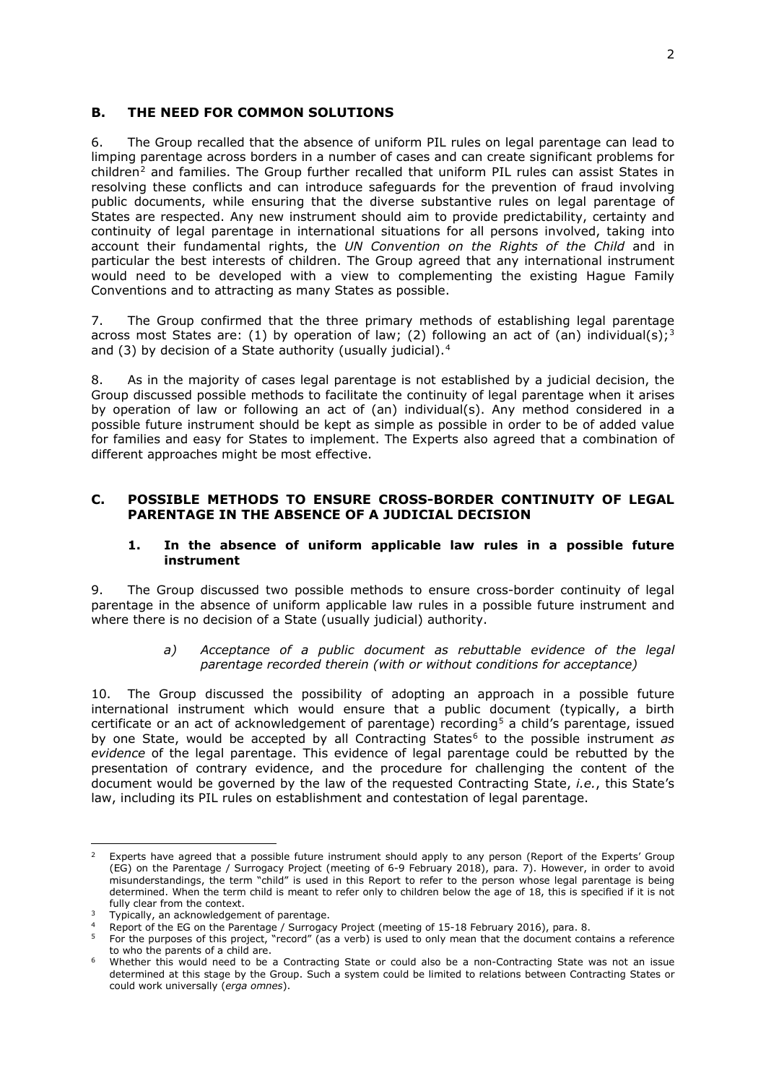#### **B. THE NEED FOR COMMON SOLUTIONS**

6. The Group recalled that the absence of uniform PIL rules on legal parentage can lead to limping parentage across borders in a number of cases and can create significant problems for  $children<sup>2</sup>$  $children<sup>2</sup>$  $children<sup>2</sup>$  and families. The Group further recalled that uniform PIL rules can assist States in resolving these conflicts and can introduce safeguards for the prevention of fraud involving public documents, while ensuring that the diverse substantive rules on legal parentage of States are respected. Any new instrument should aim to provide predictability, certainty and continuity of legal parentage in international situations for all persons involved, taking into account their fundamental rights, the *UN Convention on the Rights of the Child* and in particular the best interests of children. The Group agreed that any international instrument would need to be developed with a view to complementing the existing Hague Family Conventions and to attracting as many States as possible.

7. The Group confirmed that the three primary methods of establishing legal parentage across most States are: (1) by operation of law; (2) following an act of (an) individual(s);<sup>[3](#page-1-1)</sup> and (3) by decision of a State authority (usually judicial). $4$ 

8. As in the majority of cases legal parentage is not established by a judicial decision, the Group discussed possible methods to facilitate the continuity of legal parentage when it arises by operation of law or following an act of (an) individual(s). Any method considered in a possible future instrument should be kept as simple as possible in order to be of added value for families and easy for States to implement. The Experts also agreed that a combination of different approaches might be most effective.

### **C. POSSIBLE METHODS TO ENSURE CROSS-BORDER CONTINUITY OF LEGAL PARENTAGE IN THE ABSENCE OF A JUDICIAL DECISION**

### **1. In the absence of uniform applicable law rules in a possible future instrument**

9. The Group discussed two possible methods to ensure cross-border continuity of legal parentage in the absence of uniform applicable law rules in a possible future instrument and where there is no decision of a State (usually judicial) authority.

> *a) Acceptance of a public document as rebuttable evidence of the legal parentage recorded therein (with or without conditions for acceptance)*

10. The Group discussed the possibility of adopting an approach in a possible future international instrument which would ensure that a public document (typically, a birth certificate or an act of acknowledgement of parentage) recording<sup>[5](#page-1-3)</sup> a child's parentage, issued by one State, would be accepted by all Contracting States<sup>[6](#page-1-4)</sup> to the possible instrument *as evidence* of the legal parentage. This evidence of legal parentage could be rebutted by the presentation of contrary evidence, and the procedure for challenging the content of the document would be governed by the law of the requested Contracting State, *i.e.*, this State's law, including its PIL rules on establishment and contestation of legal parentage.

<span id="page-1-0"></span> $\overline{a}$ <sup>2</sup> Experts have agreed that a possible future instrument should apply to any person (Report of the Experts' Group (EG) on the Parentage / Surrogacy Project (meeting of 6-9 February 2018), para. 7). However, in order to avoid misunderstandings, the term "child" is used in this Report to refer to the person whose legal parentage is being determined. When the term child is meant to refer only to children below the age of 18, this is specified if it is not fully clear from the context.

Typically, an acknowledgement of parentage.

<span id="page-1-3"></span><span id="page-1-2"></span><span id="page-1-1"></span><sup>4</sup> Report of the EG on the Parentage / Surrogacy Project (meeting of 15-18 February 2016), para. 8.<br>5. Eas the nurrogas of this project. "record" (as a verb) is used to only mean that the desument can

<sup>5</sup> For the purposes of this project, "record" (as a verb) is used to only mean that the document contains a reference

<span id="page-1-4"></span>to who the parents of a child are.<br>Whether this would need to be a Contracting State or could also be a non-Contracting State was not an issue determined at this stage by the Group. Such a system could be limited to relations between Contracting States or could work universally (*erga omnes*).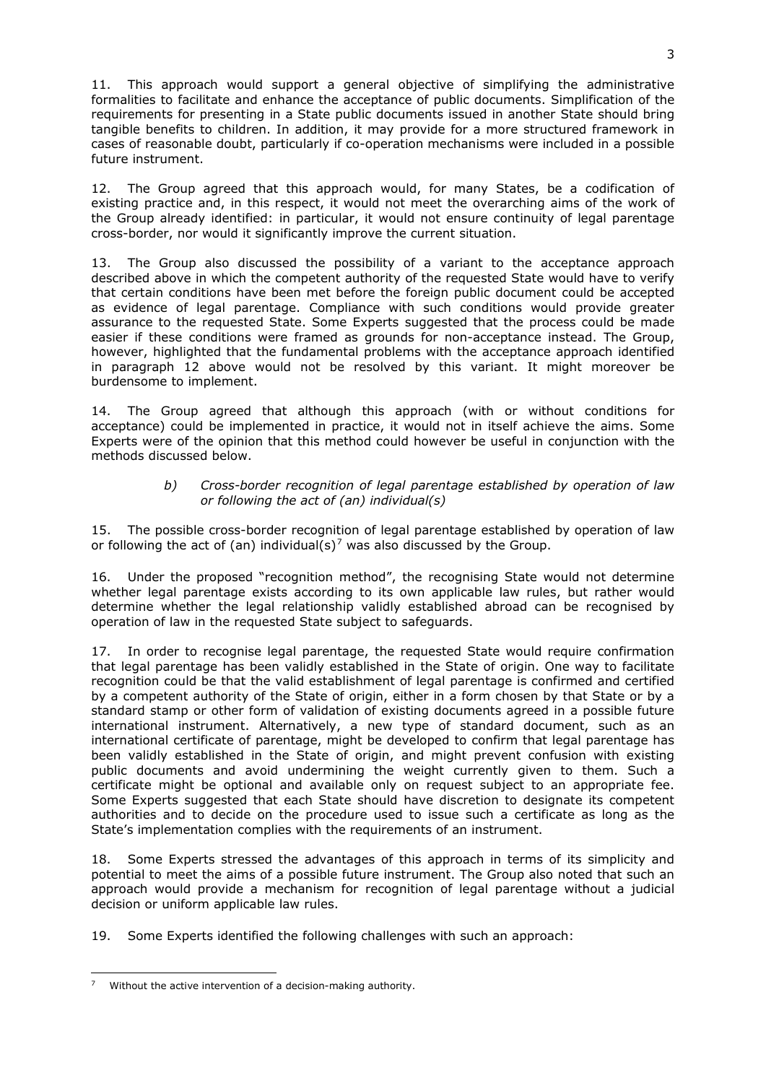11. This approach would support a general objective of simplifying the administrative formalities to facilitate and enhance the acceptance of public documents. Simplification of the requirements for presenting in a State public documents issued in another State should bring tangible benefits to children. In addition, it may provide for a more structured framework in cases of reasonable doubt, particularly if co-operation mechanisms were included in a possible future instrument.

<span id="page-2-0"></span>12. The Group agreed that this approach would, for many States, be a codification of existing practice and, in this respect, it would not meet the overarching aims of the work of the Group already identified: in particular, it would not ensure continuity of legal parentage cross-border, nor would it significantly improve the current situation.

13. The Group also discussed the possibility of a variant to the acceptance approach described above in which the competent authority of the requested State would have to verify that certain conditions have been met before the foreign public document could be accepted as evidence of legal parentage. Compliance with such conditions would provide greater assurance to the requested State. Some Experts suggested that the process could be made easier if these conditions were framed as grounds for non-acceptance instead. The Group, however, highlighted that the fundamental problems with the acceptance approach identified in paragraph [12](#page-2-0) above would not be resolved by this variant. It might moreover be burdensome to implement.

14. The Group agreed that although this approach (with or without conditions for acceptance) could be implemented in practice, it would not in itself achieve the aims. Some Experts were of the opinion that this method could however be useful in conjunction with the methods discussed below.

## *b) Cross-border recognition of legal parentage established by operation of law or following the act of (an) individual(s)*

15. The possible cross-border recognition of legal parentage established by operation of law or following the act of (an) individual(s)<sup>[7](#page-2-1)</sup> was also discussed by the Group.

16. Under the proposed "recognition method", the recognising State would not determine whether legal parentage exists according to its own applicable law rules, but rather would determine whether the legal relationship validly established abroad can be recognised by operation of law in the requested State subject to safeguards.

17. In order to recognise legal parentage, the requested State would require confirmation that legal parentage has been validly established in the State of origin. One way to facilitate recognition could be that the valid establishment of legal parentage is confirmed and certified by a competent authority of the State of origin, either in a form chosen by that State or by a standard stamp or other form of validation of existing documents agreed in a possible future international instrument. Alternatively, a new type of standard document, such as an international certificate of parentage, might be developed to confirm that legal parentage has been validly established in the State of origin, and might prevent confusion with existing public documents and avoid undermining the weight currently given to them. Such a certificate might be optional and available only on request subject to an appropriate fee. Some Experts suggested that each State should have discretion to designate its competent authorities and to decide on the procedure used to issue such a certificate as long as the State's implementation complies with the requirements of an instrument.

18. Some Experts stressed the advantages of this approach in terms of its simplicity and potential to meet the aims of a possible future instrument. The Group also noted that such an approach would provide a mechanism for recognition of legal parentage without a judicial decision or uniform applicable law rules.

19. Some Experts identified the following challenges with such an approach:

<span id="page-2-1"></span>**<sup>.</sup>** <sup>7</sup> Without the active intervention of a decision-making authority.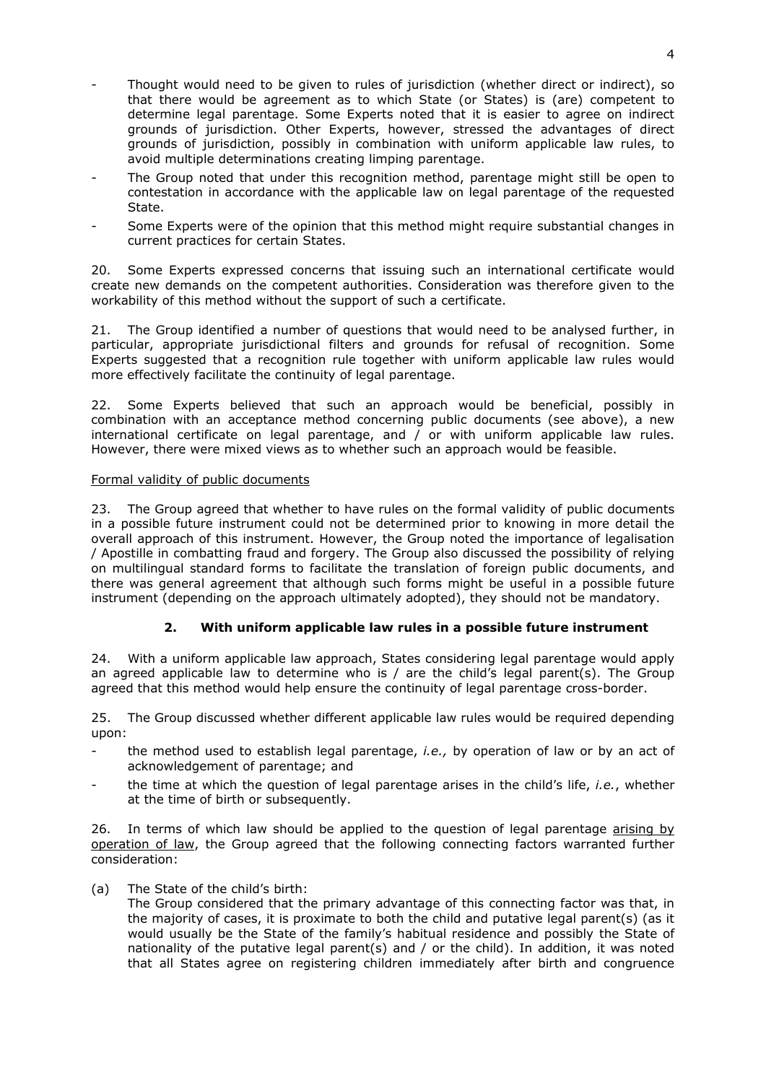- Thought would need to be given to rules of jurisdiction (whether direct or indirect), so that there would be agreement as to which State (or States) is (are) competent to determine legal parentage. Some Experts noted that it is easier to agree on indirect grounds of jurisdiction. Other Experts, however, stressed the advantages of direct grounds of jurisdiction, possibly in combination with uniform applicable law rules, to avoid multiple determinations creating limping parentage.
- The Group noted that under this recognition method, parentage might still be open to contestation in accordance with the applicable law on legal parentage of the requested State.
- Some Experts were of the opinion that this method might require substantial changes in current practices for certain States.

20. Some Experts expressed concerns that issuing such an international certificate would create new demands on the competent authorities. Consideration was therefore given to the workability of this method without the support of such a certificate.

21. The Group identified a number of questions that would need to be analysed further, in particular, appropriate jurisdictional filters and grounds for refusal of recognition. Some Experts suggested that a recognition rule together with uniform applicable law rules would more effectively facilitate the continuity of legal parentage.

22. Some Experts believed that such an approach would be beneficial, possibly in combination with an acceptance method concerning public documents (see above), a new international certificate on legal parentage, and / or with uniform applicable law rules. However, there were mixed views as to whether such an approach would be feasible.

### Formal validity of public documents

23. The Group agreed that whether to have rules on the formal validity of public documents in a possible future instrument could not be determined prior to knowing in more detail the overall approach of this instrument. However, the Group noted the importance of legalisation / Apostille in combatting fraud and forgery. The Group also discussed the possibility of relying on multilingual standard forms to facilitate the translation of foreign public documents, and there was general agreement that although such forms might be useful in a possible future instrument (depending on the approach ultimately adopted), they should not be mandatory.

## **2. With uniform applicable law rules in a possible future instrument**

24. With a uniform applicable law approach, States considering legal parentage would apply an agreed applicable law to determine who is / are the child's legal parent(s). The Group agreed that this method would help ensure the continuity of legal parentage cross-border.

25. The Group discussed whether different applicable law rules would be required depending upon:

- the method used to establish legal parentage, *i.e.*, by operation of law or by an act of acknowledgement of parentage; and
- the time at which the question of legal parentage arises in the child's life, *i.e.*, whether at the time of birth or subsequently.

26. In terms of which law should be applied to the question of legal parentage arising by operation of law, the Group agreed that the following connecting factors warranted further consideration:

## (a) The State of the child's birth:

The Group considered that the primary advantage of this connecting factor was that, in the majority of cases, it is proximate to both the child and putative legal parent(s) (as it would usually be the State of the family's habitual residence and possibly the State of nationality of the putative legal parent(s) and  $/$  or the child). In addition, it was noted that all States agree on registering children immediately after birth and congruence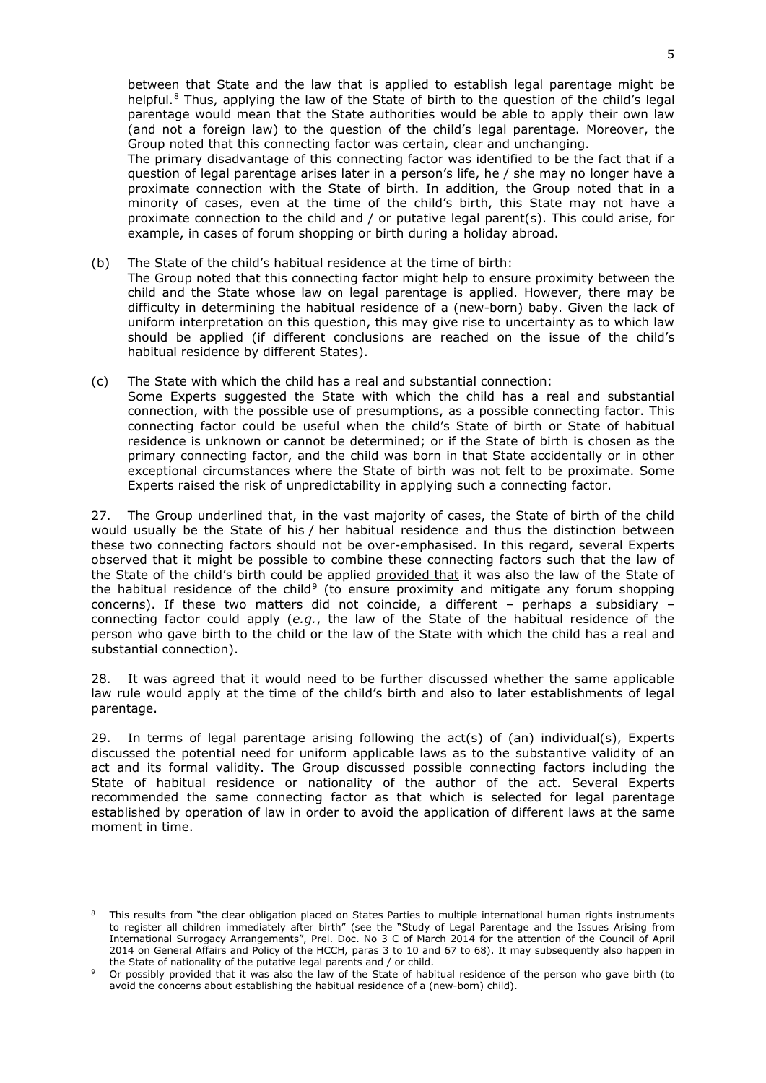between that State and the law that is applied to establish legal parentage might be helpful.<sup>[8](#page-4-0)</sup> Thus, applying the law of the State of birth to the question of the child's legal parentage would mean that the State authorities would be able to apply their own law (and not a foreign law) to the question of the child's legal parentage. Moreover, the Group noted that this connecting factor was certain, clear and unchanging.

The primary disadvantage of this connecting factor was identified to be the fact that if a question of legal parentage arises later in a person's life, he / she may no longer have a proximate connection with the State of birth. In addition, the Group noted that in a minority of cases, even at the time of the child's birth, this State may not have a proximate connection to the child and / or putative legal parent(s). This could arise, for example, in cases of forum shopping or birth during a holiday abroad.

- (b) The State of the child's habitual residence at the time of birth: The Group noted that this connecting factor might help to ensure proximity between the child and the State whose law on legal parentage is applied. However, there may be difficulty in determining the habitual residence of a (new-born) baby. Given the lack of uniform interpretation on this question, this may give rise to uncertainty as to which law should be applied (if different conclusions are reached on the issue of the child's habitual residence by different States).
- (c) The State with which the child has a real and substantial connection: Some Experts suggested the State with which the child has a real and substantial connection, with the possible use of presumptions, as a possible connecting factor. This connecting factor could be useful when the child's State of birth or State of habitual residence is unknown or cannot be determined; or if the State of birth is chosen as the primary connecting factor, and the child was born in that State accidentally or in other exceptional circumstances where the State of birth was not felt to be proximate. Some Experts raised the risk of unpredictability in applying such a connecting factor.

27. The Group underlined that, in the vast majority of cases, the State of birth of the child would usually be the State of his / her habitual residence and thus the distinction between these two connecting factors should not be over-emphasised. In this regard, several Experts observed that it might be possible to combine these connecting factors such that the law of the State of the child's birth could be applied provided that it was also the law of the State of the habitual residence of the child<sup>[9](#page-4-1)</sup> (to ensure proximity and mitigate any forum shopping concerns). If these two matters did not coincide, a different – perhaps a subsidiary – connecting factor could apply (*e.g.*, the law of the State of the habitual residence of the person who gave birth to the child or the law of the State with which the child has a real and substantial connection).

28. It was agreed that it would need to be further discussed whether the same applicable law rule would apply at the time of the child's birth and also to later establishments of legal parentage.

29. In terms of legal parentage arising following the act(s) of (an) individual(s), Experts discussed the potential need for uniform applicable laws as to the substantive validity of an act and its formal validity. The Group discussed possible connecting factors including the State of habitual residence or nationality of the author of the act. Several Experts recommended the same connecting factor as that which is selected for legal parentage established by operation of law in order to avoid the application of different laws at the same moment in time.

<span id="page-4-0"></span>**<sup>.</sup>** This results from "the clear obligation placed on States Parties to multiple international human rights instruments to register all children immediately after birth" (see the "Study of Legal Parentage and the Issues Arising from International Surrogacy Arrangements", Prel. Doc. No 3 C of March 2014 for the attention of the Council of April 2014 on General Affairs and Policy of the HCCH, paras 3 to 10 and 67 to 68). It may subsequently also happen in the State of nationality of the putative legal parents and / or child.

<span id="page-4-1"></span><sup>9</sup> Or possibly provided that it was also the law of the State of habitual residence of the person who gave birth (to avoid the concerns about establishing the habitual residence of a (new-born) child).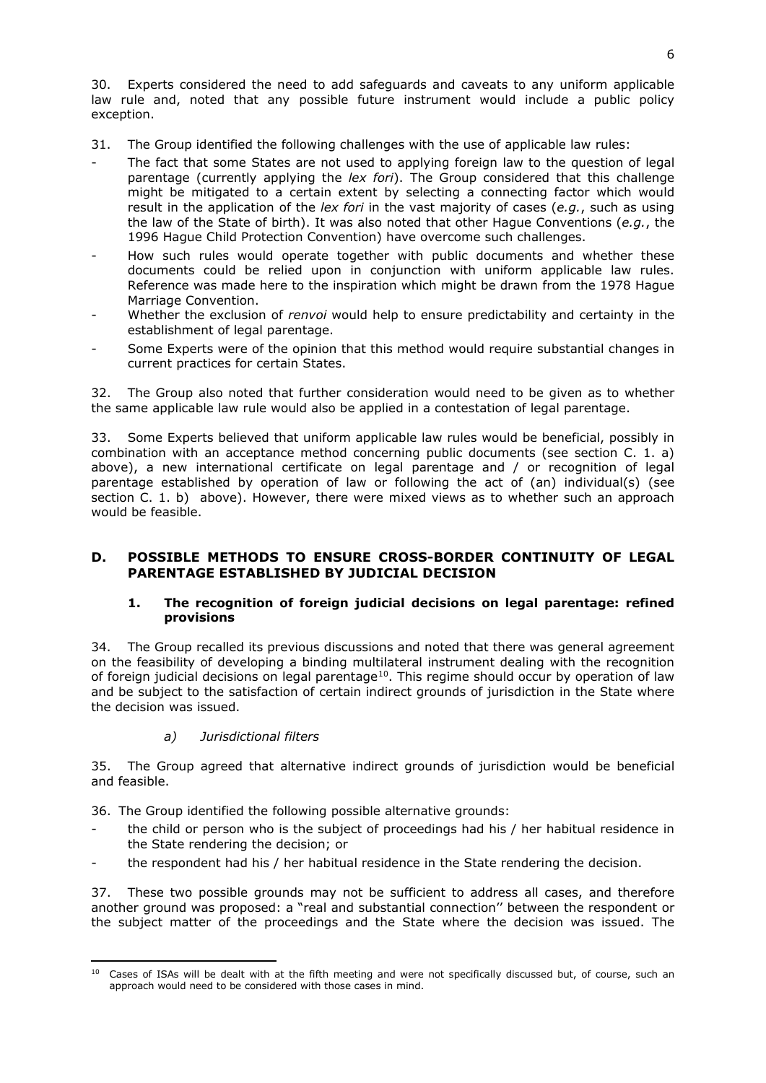30. Experts considered the need to add safeguards and caveats to any uniform applicable law rule and, noted that any possible future instrument would include a public policy exception.

- 31. The Group identified the following challenges with the use of applicable law rules:
- The fact that some States are not used to applying foreign law to the question of legal parentage (currently applying the *lex fori*). The Group considered that this challenge might be mitigated to a certain extent by selecting a connecting factor which would result in the application of the *lex fori* in the vast majority of cases (*e.g.*, such as using the law of the State of birth). It was also noted that other Hague Conventions (*e.g.*, the 1996 Hague Child Protection Convention) have overcome such challenges.
- How such rules would operate together with public documents and whether these documents could be relied upon in conjunction with uniform applicable law rules. Reference was made here to the inspiration which might be drawn from the 1978 Hague Marriage Convention.
- Whether the exclusion of *renvoi* would help to ensure predictability and certainty in the establishment of legal parentage.
- Some Experts were of the opinion that this method would require substantial changes in current practices for certain States.

32. The Group also noted that further consideration would need to be given as to whether the same applicable law rule would also be applied in a contestation of legal parentage.

33. Some Experts believed that uniform applicable law rules would be beneficial, possibly in combination with an acceptance method concerning public documents (see section C. 1. a) above), a new international certificate on legal parentage and / or recognition of legal parentage established by operation of law or following the act of (an) individual(s) (see section C. 1. b) above). However, there were mixed views as to whether such an approach would be feasible.

## **D. POSSIBLE METHODS TO ENSURE CROSS-BORDER CONTINUITY OF LEGAL PARENTAGE ESTABLISHED BY JUDICIAL DECISION**

### **1. The recognition of foreign judicial decisions on legal parentage: refined provisions**

34. The Group recalled its previous discussions and noted that there was general agreement on the feasibility of developing a binding multilateral instrument dealing with the recognition of foreign judicial decisions on legal parentage<sup>10</sup>. This regime should occur by operation of law and be subject to the satisfaction of certain indirect grounds of jurisdiction in the State where the decision was issued.

## *a) Jurisdictional filters*

 $\overline{a}$ 

35. The Group agreed that alternative indirect grounds of jurisdiction would be beneficial and feasible.

36. The Group identified the following possible alternative grounds:

- the child or person who is the subject of proceedings had his / her habitual residence in the State rendering the decision; or
- the respondent had his / her habitual residence in the State rendering the decision.

37. These two possible grounds may not be sufficient to address all cases, and therefore another ground was proposed: a "real and substantial connection'' between the respondent or the subject matter of the proceedings and the State where the decision was issued. The

<span id="page-5-0"></span><sup>&</sup>lt;sup>10</sup> Cases of ISAs will be dealt with at the fifth meeting and were not specifically discussed but, of course, such an approach would need to be considered with those cases in mind.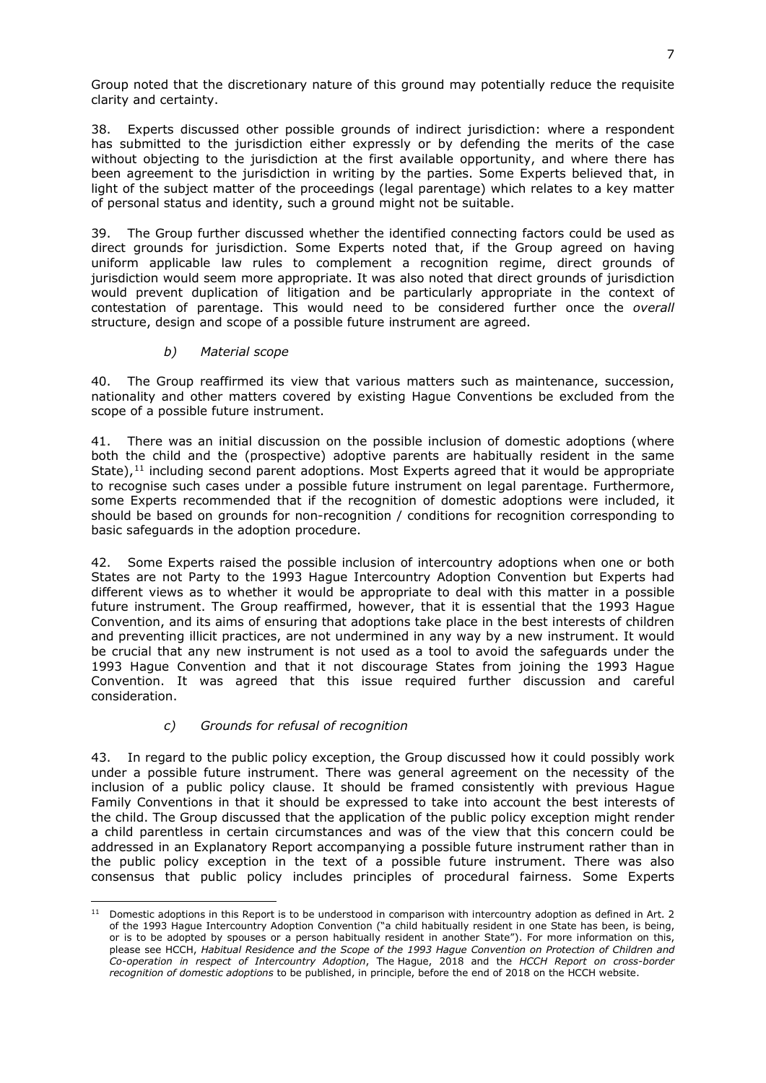Group noted that the discretionary nature of this ground may potentially reduce the requisite clarity and certainty.

38. Experts discussed other possible grounds of indirect jurisdiction: where a respondent has submitted to the jurisdiction either expressly or by defending the merits of the case without objecting to the jurisdiction at the first available opportunity, and where there has been agreement to the jurisdiction in writing by the parties. Some Experts believed that, in light of the subject matter of the proceedings (legal parentage) which relates to a key matter of personal status and identity, such a ground might not be suitable.

39. The Group further discussed whether the identified connecting factors could be used as direct grounds for jurisdiction. Some Experts noted that, if the Group agreed on having uniform applicable law rules to complement a recognition regime, direct grounds of jurisdiction would seem more appropriate. It was also noted that direct grounds of jurisdiction would prevent duplication of litigation and be particularly appropriate in the context of contestation of parentage. This would need to be considered further once the *overall*  structure, design and scope of a possible future instrument are agreed.

## *b) Material scope*

40. The Group reaffirmed its view that various matters such as maintenance, succession, nationality and other matters covered by existing Hague Conventions be excluded from the scope of a possible future instrument.

41. There was an initial discussion on the possible inclusion of domestic adoptions (where both the child and the (prospective) adoptive parents are habitually resident in the same State), $^{11}$  $^{11}$  $^{11}$  including second parent adoptions. Most Experts agreed that it would be appropriate to recognise such cases under a possible future instrument on legal parentage. Furthermore, some Experts recommended that if the recognition of domestic adoptions were included, it should be based on grounds for non-recognition / conditions for recognition corresponding to basic safeguards in the adoption procedure.

42. Some Experts raised the possible inclusion of intercountry adoptions when one or both States are not Party to the 1993 Hague Intercountry Adoption Convention but Experts had different views as to whether it would be appropriate to deal with this matter in a possible future instrument. The Group reaffirmed, however, that it is essential that the 1993 Hague Convention, and its aims of ensuring that adoptions take place in the best interests of children and preventing illicit practices, are not undermined in any way by a new instrument. It would be crucial that any new instrument is not used as a tool to avoid the safeguards under the 1993 Hague Convention and that it not discourage States from joining the 1993 Hague Convention. It was agreed that this issue required further discussion and careful consideration.

## *c) Grounds for refusal of recognition*

43. In regard to the public policy exception, the Group discussed how it could possibly work under a possible future instrument. There was general agreement on the necessity of the inclusion of a public policy clause. It should be framed consistently with previous Hague Family Conventions in that it should be expressed to take into account the best interests of the child. The Group discussed that the application of the public policy exception might render a child parentless in certain circumstances and was of the view that this concern could be addressed in an Explanatory Report accompanying a possible future instrument rather than in the public policy exception in the text of a possible future instrument. There was also consensus that public policy includes principles of procedural fairness. Some Experts

<span id="page-6-0"></span>**<sup>.</sup>**  $11$  Domestic adoptions in this Report is to be understood in comparison with intercountry adoption as defined in Art. 2 of the 1993 Hague Intercountry Adoption Convention ("a child habitually resident in one State has been, is being, or is to be adopted by spouses or a person habitually resident in another State"). For more information on this, please see HCCH, *Habitual Residence and the Scope of the 1993 Hague Convention on Protection of Children and Co-operation in respect of Intercountry Adoption*, The Hague, 2018 and the *HCCH Report on cross-border recognition of domestic adoptions* to be published, in principle, before the end of 2018 on the HCCH website.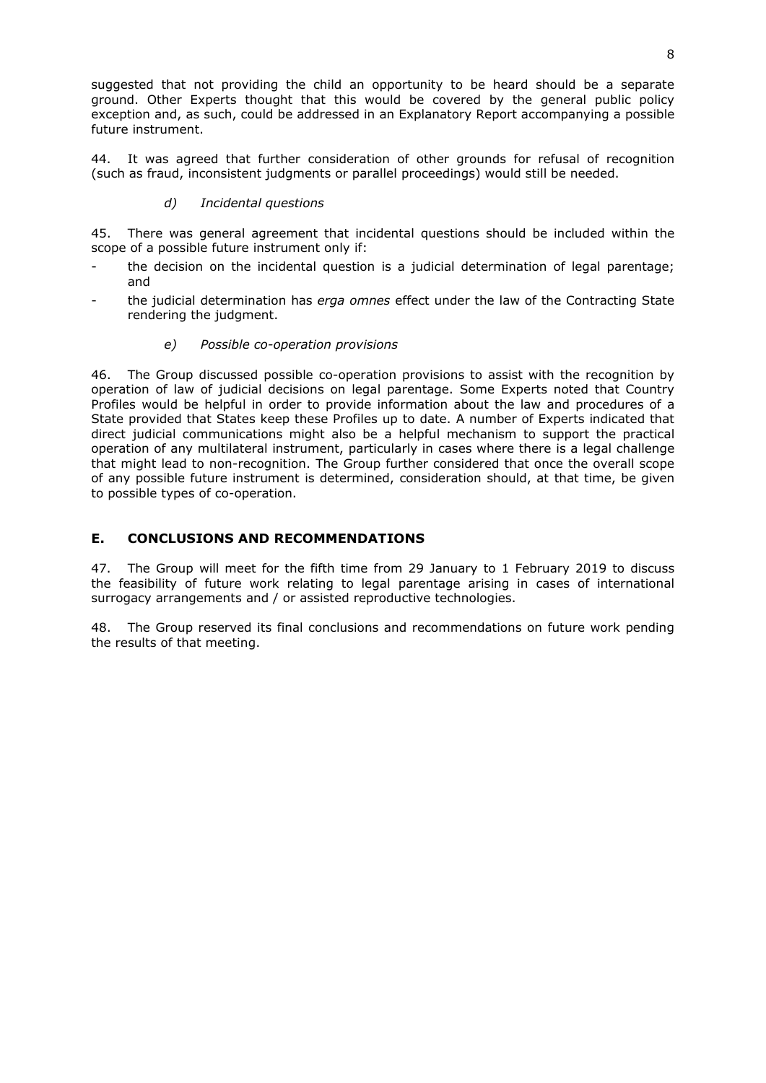suggested that not providing the child an opportunity to be heard should be a separate ground. Other Experts thought that this would be covered by the general public policy exception and, as such, could be addressed in an Explanatory Report accompanying a possible future instrument.

44. It was agreed that further consideration of other grounds for refusal of recognition (such as fraud, inconsistent judgments or parallel proceedings) would still be needed.

## *d) Incidental questions*

45. There was general agreement that incidental questions should be included within the scope of a possible future instrument only if:

- the decision on the incidental question is a judicial determination of legal parentage; and
- the judicial determination has *erga omnes* effect under the law of the Contracting State rendering the judgment.

### *e) Possible co-operation provisions*

46. The Group discussed possible co-operation provisions to assist with the recognition by operation of law of judicial decisions on legal parentage. Some Experts noted that Country Profiles would be helpful in order to provide information about the law and procedures of a State provided that States keep these Profiles up to date. A number of Experts indicated that direct judicial communications might also be a helpful mechanism to support the practical operation of any multilateral instrument, particularly in cases where there is a legal challenge that might lead to non-recognition. The Group further considered that once the overall scope of any possible future instrument is determined, consideration should, at that time, be given to possible types of co-operation.

# **E. CONCLUSIONS AND RECOMMENDATIONS**

47. The Group will meet for the fifth time from 29 January to 1 February 2019 to discuss the feasibility of future work relating to legal parentage arising in cases of international surrogacy arrangements and / or assisted reproductive technologies.

48. The Group reserved its final conclusions and recommendations on future work pending the results of that meeting.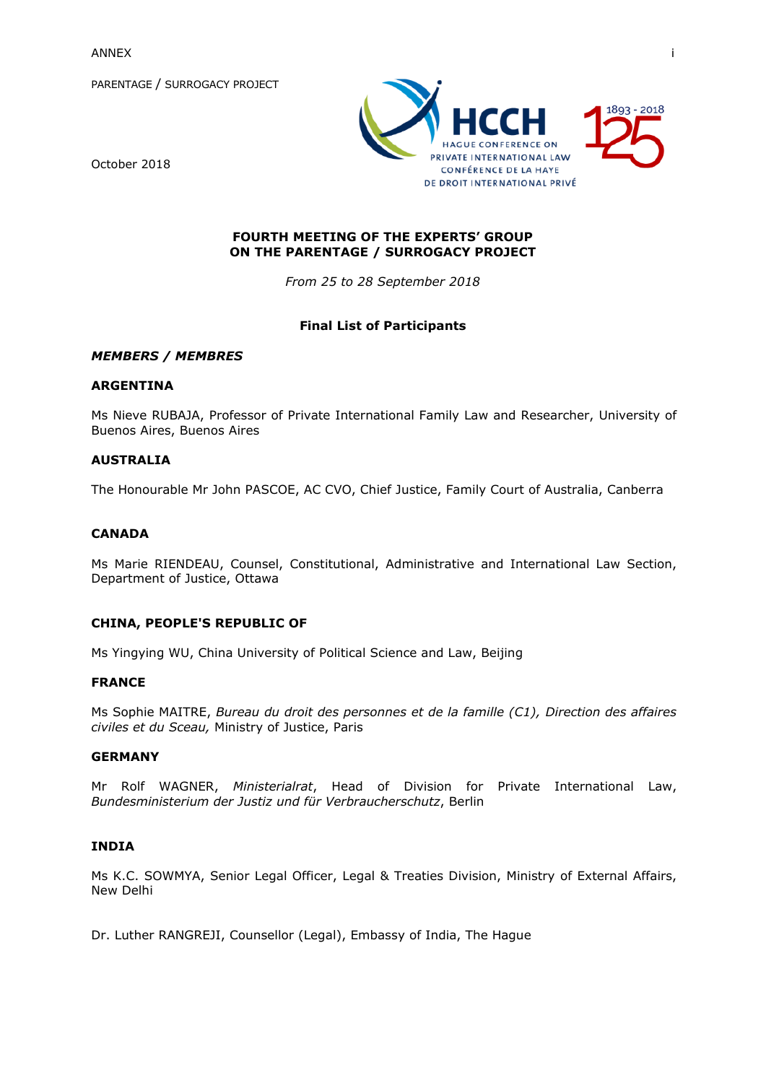PARENTAGE / SURROGACY PROJECT





## **FOURTH MEETING OF THE EXPERTS' GROUP ON THE PARENTAGE / SURROGACY PROJECT**

*From 25 to 28 September 2018*

## **Final List of Participants**

### *MEMBERS / MEMBRES*

#### **ARGENTINA**

Ms Nieve RUBAJA, Professor of Private International Family Law and Researcher, University of Buenos Aires, Buenos Aires

### **AUSTRALIA**

The Honourable Mr John PASCOE, AC CVO, Chief Justice, Family Court of Australia, Canberra

## **CANADA**

Ms Marie RIENDEAU, Counsel, Constitutional, Administrative and International Law Section, Department of Justice, Ottawa

## **CHINA, PEOPLE'S REPUBLIC OF**

Ms Yingying WU, China University of Political Science and Law, Beijing

#### **FRANCE**

Ms Sophie MAITRE, *Bureau du droit des personnes et de la famille (C1), Direction des affaires civiles et du Sceau,* Ministry of Justice, Paris

## **GERMANY**

Mr Rolf WAGNER, *Ministerialrat*, Head of Division for Private International Law, *Bundesministerium der Justiz und für Verbraucherschutz*, Berlin

#### **INDIA**

Ms K.C. SOWMYA, Senior Legal Officer, Legal & Treaties Division, Ministry of External Affairs, New Delhi

Dr. Luther RANGREJI, Counsellor (Legal), Embassy of India, The Hague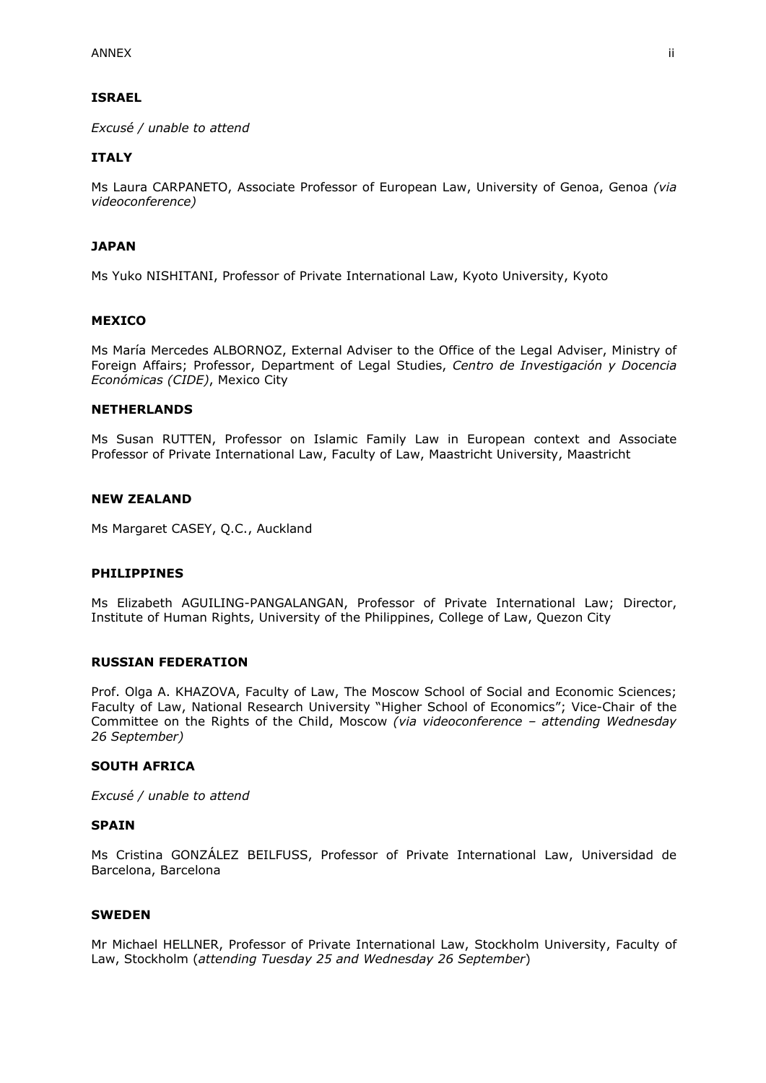### **ISRAEL**

*Excusé / unable to attend*

### **ITALY**

Ms Laura CARPANETO, Associate Professor of European Law, University of Genoa, Genoa *(via videoconference)*

### **JAPAN**

Ms Yuko NISHITANI, Professor of Private International Law, Kyoto University, Kyoto

#### **MEXICO**

Ms María Mercedes ALBORNOZ, External Adviser to the Office of the Legal Adviser, Ministry of Foreign Affairs; Professor, Department of Legal Studies, *Centro de Investigación y Docencia Económicas (CIDE)*, Mexico City

#### **NETHERLANDS**

Ms Susan RUTTEN, Professor on Islamic Family Law in European context and Associate Professor of Private International Law, Faculty of Law, Maastricht University, Maastricht

## **NEW ZEALAND**

Ms Margaret CASEY, Q.C., Auckland

#### **PHILIPPINES**

Ms Elizabeth AGUILING-PANGALANGAN, Professor of Private International Law; Director, Institute of Human Rights, University of the Philippines, College of Law, Quezon City

#### **RUSSIAN FEDERATION**

Prof. Olga A. KHAZOVA, Faculty of Law, The Moscow School of Social and Economic Sciences; Faculty of Law, National Research University "Higher School of Economics"; Vice-Chair of the Committee on the Rights of the Child, Moscow *(via videoconference – attending Wednesday 26 September)*

### **SOUTH AFRICA**

*Excusé / unable to attend*

#### **SPAIN**

Ms Cristina GONZÁLEZ BEILFUSS, Professor of Private International Law, Universidad de Barcelona, Barcelona

#### **SWEDEN**

Mr Michael HELLNER, Professor of Private International Law, Stockholm University, Faculty of Law, Stockholm (*attending Tuesday 25 and Wednesday 26 September*)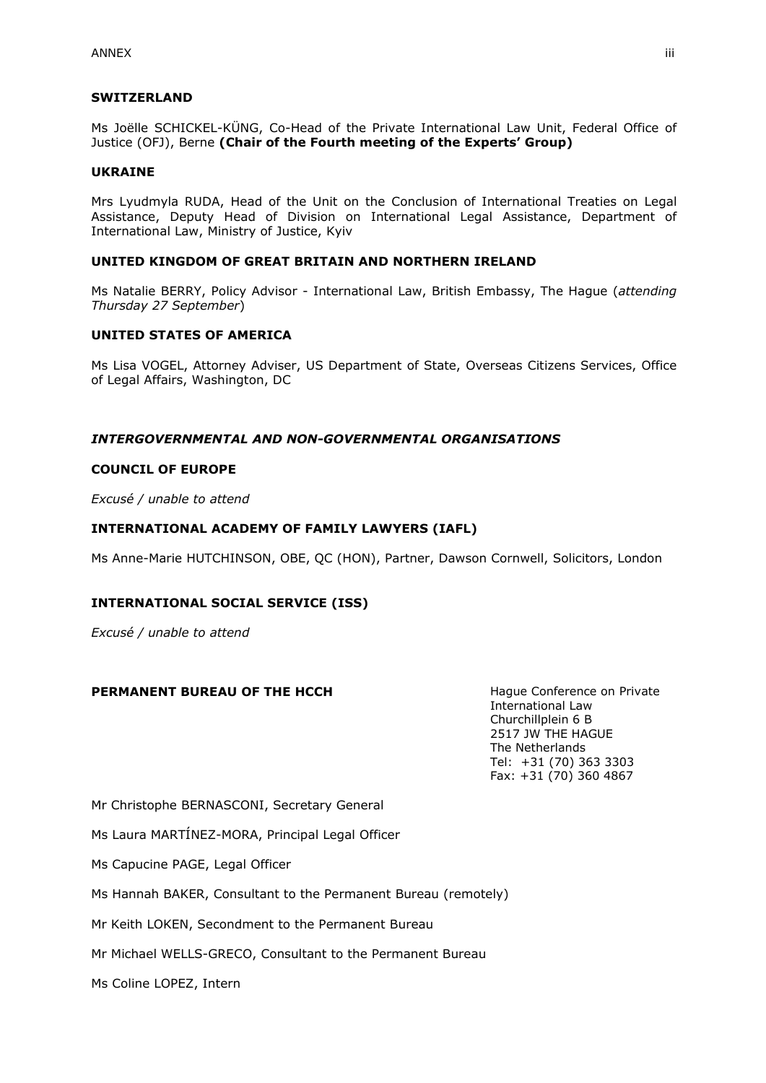### **SWITZERLAND**

Ms Joëlle SCHICKEL-KÜNG, Co-Head of the Private International Law Unit, Federal Office of Justice (OFJ), Berne **(Chair of the Fourth meeting of the Experts' Group)**

#### **UKRAINE**

Mrs Lyudmyla RUDA, Head of the Unit on the Conclusion of International Treaties on Legal Assistance, Deputy Head of Division on International Legal Assistance, Department of International Law, Ministry of Justice, Kyiv

## **UNITED KINGDOM OF GREAT BRITAIN AND NORTHERN IRELAND**

Ms Natalie BERRY, Policy Advisor - International Law, British Embassy, The Hague (*attending Thursday 27 September*)

### **UNITED STATES OF AMERICA**

Ms Lisa VOGEL, Attorney Adviser, US Department of State, Overseas Citizens Services, Office of Legal Affairs, Washington, DC

### *INTERGOVERNMENTAL AND NON-GOVERNMENTAL ORGANISATIONS*

#### **COUNCIL OF EUROPE**

*Excusé / unable to attend*

### **INTERNATIONAL ACADEMY OF FAMILY LAWYERS (IAFL)**

Ms Anne-Marie HUTCHINSON, OBE, QC (HON), Partner, Dawson Cornwell, Solicitors, London

#### **INTERNATIONAL SOCIAL SERVICE (ISS)**

*Excusé / unable to attend*

#### **PERMANENT BUREAU OF THE HCCH** Hague Conference on Private

International Law Churchillplein 6 B 2517 JW THE HAGUE The Netherlands Tel: +31 (70) 363 3303 Fax: +31 (70) 360 4867

Mr Christophe BERNASCONI, Secretary General

Ms Laura MARTÍNEZ-MORA, Principal Legal Officer

Ms Capucine PAGE, Legal Officer

Ms Hannah BAKER, Consultant to the Permanent Bureau (remotely)

Mr Keith LOKEN, Secondment to the Permanent Bureau

Mr Michael WELLS-GRECO, Consultant to the Permanent Bureau

Ms Coline LOPEZ, Intern